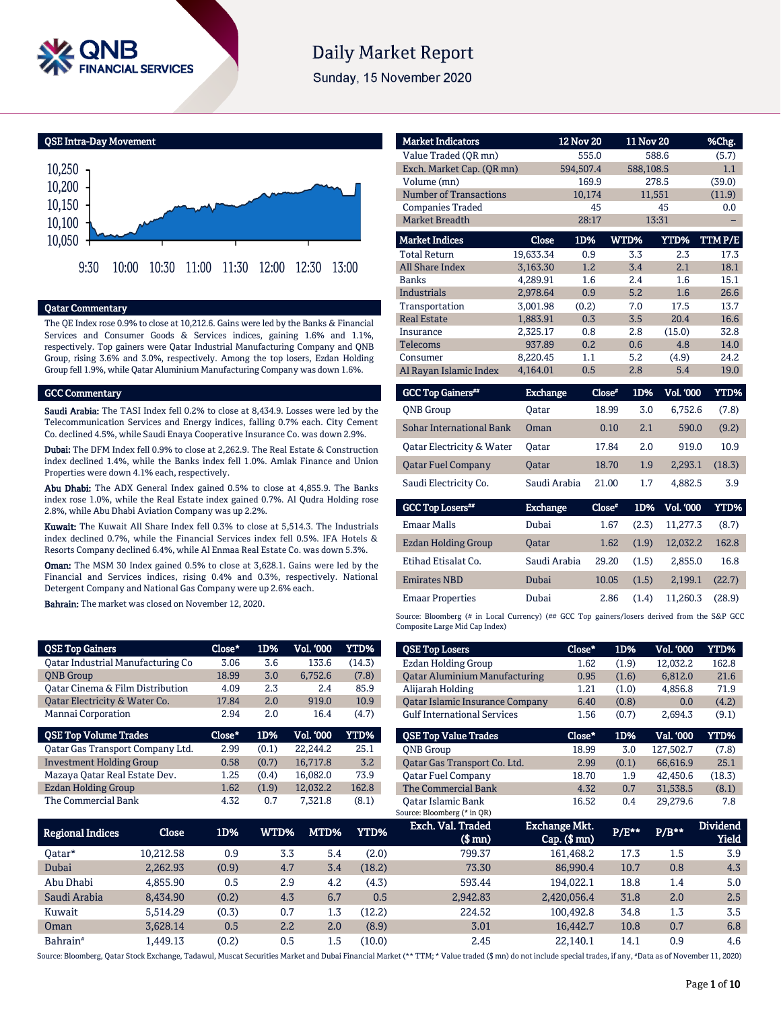

# **Daily Market Report**

Sunday, 15 November 2020

QSE Intra-Day Movement



#### Qatar Commentary

The QE Index rose 0.9% to close at 10,212.6. Gains were led by the Banks & Financial Services and Consumer Goods & Services indices, gaining 1.6% and 1.1%, respectively. Top gainers were Qatar Industrial Manufacturing Company and QNB Group, rising 3.6% and 3.0%, respectively. Among the top losers, Ezdan Holding Group fell 1.9%, while Qatar Aluminium Manufacturing Company was down 1.6%.

#### GCC Commentary

Saudi Arabia: The TASI Index fell 0.2% to close at 8,434.9. Losses were led by the Telecommunication Services and Energy indices, falling 0.7% each. City Cement Co. declined 4.5%, while Saudi Enaya Cooperative Insurance Co. was down 2.9%.

Dubai: The DFM Index fell 0.9% to close at 2,262.9. The Real Estate & Construction index declined 1.4%, while the Banks index fell 1.0%. Amlak Finance and Union Properties were down 4.1% each, respectively.

Abu Dhabi: The ADX General Index gained 0.5% to close at 4,855.9. The Banks index rose 1.0%, while the Real Estate index gained 0.7%. Al Qudra Holding rose 2.8%, while Abu Dhabi Aviation Company was up 2.2%.

Kuwait: The Kuwait All Share Index fell 0.3% to close at 5,514.3. The Industrials index declined 0.7%, while the Financial Services index fell 0.5%. IFA Hotels & Resorts Company declined 6.4%, while Al Enmaa Real Estate Co. was down 5.3%.

Oman: The MSM 30 Index gained 0.5% to close at 3,628.1. Gains were led by the Financial and Services indices, rising 0.4% and 0.3%, respectively. National Detergent Company and National Gas Company were up 2.6% each.

Bahrain: The market was closed on November 12, 2020.

| <b>QSE Top Gainers</b>            | Close* | 1D%   | <b>Vol. '000</b> | YTD%   |
|-----------------------------------|--------|-------|------------------|--------|
| Oatar Industrial Manufacturing Co | 3.06   | 3.6   | 133.6            | (14.3) |
| <b>ONB</b> Group                  | 18.99  | 3.0   | 6,752.6          | (7.8)  |
| Oatar Cinema & Film Distribution  | 4.09   | 2.3   | 2.4              | 85.9   |
| Oatar Electricity & Water Co.     | 17.84  | 2.0   | 919.0            | 10.9   |
| Mannai Corporation                | 2.94   | 2.0   | 16.4             | (4.7)  |
|                                   |        |       |                  |        |
| <b>QSE Top Volume Trades</b>      | Close* | 1D%   | <b>Vol. '000</b> | YTD%   |
| Qatar Gas Transport Company Ltd.  | 2.99   | (0.1) | 22.244.2         | 25.1   |
| <b>Investment Holding Group</b>   | 0.58   | (0.7) | 16,717.8         | 3.2    |
| Mazaya Qatar Real Estate Dev.     | 1.25   | (0.4) | 16.082.0         | 73.9   |
| Ezdan Holding Group               | 1.62   | (1.9) | 12,032.2         | 162.8  |

| <b>Market Indicators</b>      |            | <b>12 Nov 20</b> |                     | <b>11 Nov 20</b> | %Chg.                  |
|-------------------------------|------------|------------------|---------------------|------------------|------------------------|
| Value Traded (OR mn)          |            | 555.0            |                     | 588.6            | (5.7)                  |
| Exch. Market Cap. (QR mn)     |            | 594,507.4        |                     | 588,108.5        | 1.1                    |
| Volume (mn)                   |            | 169.9            |                     | 278.5            | (39.0)                 |
| <b>Number of Transactions</b> |            | 10,174           |                     | 11,551           | (11.9)                 |
| <b>Companies Traded</b>       |            | 45               |                     | 45               | 0.0                    |
| <b>Market Breadth</b>         |            | 28:17            |                     | 13:31            |                        |
| <b>Market Indices</b>         | Close      | 1D%              | WTD%                | YTD%             | TTMP/E                 |
| <b>Total Return</b>           | 19.633.34  | 0.9              | 3.3                 | 2.3              | 17.3                   |
| <b>All Share Index</b>        | 3,163.30   | 1.2              | 3.4                 | 2.1              | 18.1                   |
| <b>Banks</b>                  | 4.289.91   | 1.6              | 2.4                 | 1.6              | 15.1                   |
| <b>Industrials</b>            | 2.978.64   | 0.9              | 5.2                 | 1.6              | 26.6                   |
| Transportation                | 3,001.98   | (0.2)            | 7.0                 | 17.5             | 13.7                   |
| <b>Real Estate</b>            | 1,883.91   | 0.3              | 3.5                 | 20.4             | 16.6                   |
| Insurance                     | 2.325.17   | 0.8              | 2.8                 | (15.0)           | 32.8                   |
| Telecoms                      | 937.89     | 0.2              | 0.6                 | 4.8              | 14.0                   |
| Consumer                      | 8,220.45   | 1.1              | 5.2                 | (4.9)            | 24.2                   |
| Al Rayan Islamic Index        | 4,164.01   | 0.5              | 2.8                 | 5.4              | 19.0                   |
|                               | <b>m</b> 1 | m.               | - 46<br><b>STAT</b> | $371$ inna       | <b><i>EXEMPLAY</i></b> |

| <b>GCC Top Gainers**</b>  | <b>Exchange</b> | Close" | 1D% | <b>Vol. '000</b> | YTD%   |
|---------------------------|-----------------|--------|-----|------------------|--------|
| <b>ONB</b> Group          | Oatar           | 18.99  | 3.0 | 6.752.6          | (7.8)  |
| Sohar International Bank  | Oman            | 0.10   | 2.1 | 590.0            | (9.2)  |
| Oatar Electricity & Water | Oatar           | 17.84  | 2.0 | 919.0            | 10.9   |
| <b>Qatar Fuel Company</b> | <b>Oatar</b>    | 18.70  | 1.9 | 2.293.1          | (18.3) |
| Saudi Electricity Co.     | Saudi Arabia    | 21.00  | 1.7 | 4.882.5          | 3.9    |

| <b>GCC Top Losers**</b> | <b>Exchange</b> | Close* | 1D%   | <b>Vol. '000</b> | YTD%   |
|-------------------------|-----------------|--------|-------|------------------|--------|
| <b>Emaar Malls</b>      | Dubai           | 1.67   | (2.3) | 11.277.3         | (8.7)  |
| Ezdan Holding Group     | <b>Oatar</b>    | 1.62   | (1.9) | 12.032.2         | 162.8  |
| Etihad Etisalat Co.     | Saudi Arabia    | 29.20  | (1.5) | 2.855.0          | 16.8   |
| <b>Emirates NBD</b>     | Dubai           | 10.05  | (1.5) | 2.199.1          | (22.7) |
| <b>Emaar Properties</b> | Dubai           | 2.86   | (1.4) | 11.260.3         | (28.9) |

Source: Bloomberg (# in Local Currency) (## GCC Top gainers/losers derived from the S&P GCC Composite Large Mid Cap Index)

| <b>QSE Top Losers</b>                  | Close* | 1D%   | <b>Vol. '000</b> | YTD%   |
|----------------------------------------|--------|-------|------------------|--------|
| Ezdan Holding Group                    | 1.62   | (1.9) | 12.032.2         | 162.8  |
| <b>Oatar Aluminium Manufacturing</b>   | 0.95   | (1.6) | 6.812.0          | 21.6   |
| Alijarah Holding                       | 1.21   | (1.0) | 4,856.8          | 71.9   |
| <b>Qatar Islamic Insurance Company</b> | 6.40   | (0.8) | 0.0              | (4.2)  |
| <b>Gulf International Services</b>     | 1.56   | (0.7) | 2.694.3          | (9.1)  |
|                                        |        |       |                  |        |
|                                        |        |       |                  |        |
| <b>OSE Top Value Trades</b>            | Close* | 1D%   | Val. '000        | YTD%   |
| <b>ONB</b> Group                       | 18.99  | 3.0   | 127.502.7        | (7.8)  |
| Oatar Gas Transport Co. Ltd.           | 2.99   | (0.1) | 66.616.9         | 25.1   |
| Oatar Fuel Company                     | 18.70  | 1.9   | 42.450.6         | (18.3) |
| The Commercial Bank                    | 4.32   | 0.7   | 31.538.5         | (8.1)  |

| Regional Indices     | Close     | 1D%   | WTD%' | MTD% | YTD%   | Exch. Val. Traded<br>$$$ mn $)$ | <b>Exchange Mkt.</b><br>$Cap.$ ( $$rm)$ ) | $P/E***$ | $P/B***$ | <b>Dividend</b><br><b>Yield</b> |
|----------------------|-----------|-------|-------|------|--------|---------------------------------|-------------------------------------------|----------|----------|---------------------------------|
| 0atar*               | 10.212.58 | 0.9   | 3.3   | 5.4  | (2.0)  | 799.37                          | 161.468.2                                 | 17.3     | 1.5      | 3.9                             |
| Dubai                | 2.262.93  | (0.9) | 4.7   | 3.4  | (18.2) | 73.30                           | 86,990.4                                  | 10.7     | 0.8      | 4.3                             |
| Abu Dhabi            | 4.855.90  | 0.5   | 2.9   | 4.2  | (4.3)  | 593.44                          | 194.022.1                                 | 18.8     | 1.4      | 5.0                             |
| Saudi Arabia         | 8.434.90  | (0.2) | 4.3   | 6.7  | 0.5    | 2.942.83                        | 2.420.056.4                               | 31.8     | 2.0      | 2.5                             |
| Kuwait               | 5.514.29  | (0.3) | 0.7   | 1.3  | (12.2) | 224.52                          | 100.492.8                                 | 34.8     | 1.3      | 3.5                             |
| Oman                 | 3.628.14  | 0.5   | 2.2   | 2.0  | (8.9)  | 3.01                            | 16.442.7                                  | 10.8     | 0.7      | 6.8                             |
| Bahrain <sup>#</sup> | .449.13   | (0.2) | 0.5   | 1.5  | (10.0) | 2.45                            | 22.140.1                                  | 14.1     | 0.9      | 4.6                             |

Source: Bloomberg, Qatar Stock Exchange, Tadawul, Muscat Securities Market and Dubai Financial Market (\*\* TTM; \* Value traded (\$ mn) do not include special trades, if any, #Data as of November 11, 2020)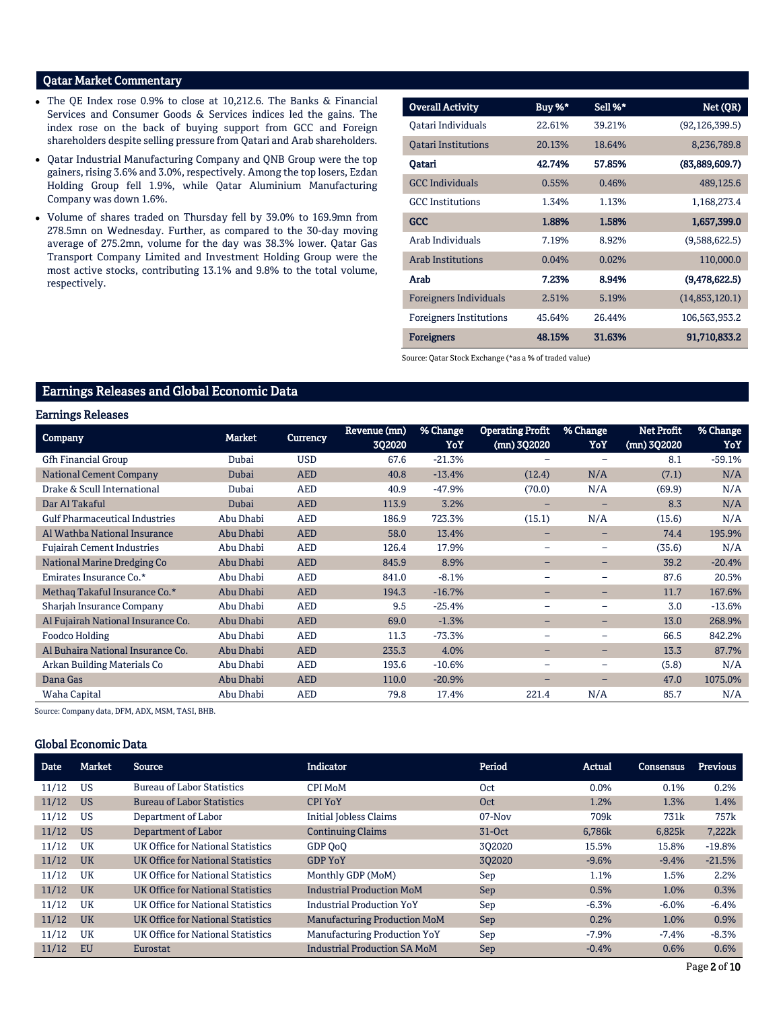### Qatar Market Commentary

- The QE Index rose 0.9% to close at 10,212.6. The Banks & Financial Services and Consumer Goods & Services indices led the gains. The index rose on the back of buying support from GCC and Foreign shareholders despite selling pressure from Qatari and Arab shareholders.
- Qatar Industrial Manufacturing Company and QNB Group were the top gainers, rising 3.6% and 3.0%, respectively. Among the top losers, Ezdan Holding Group fell 1.9%, while Qatar Aluminium Manufacturing Company was down 1.6%.
- Volume of shares traded on Thursday fell by 39.0% to 169.9mn from 278.5mn on Wednesday. Further, as compared to the 30-day moving average of 275.2mn, volume for the day was 38.3% lower. Qatar Gas Transport Company Limited and Investment Holding Group were the most active stocks, contributing 13.1% and 9.8% to the total volume, respectively.

| <b>Overall Activity</b>        | Buy %* | Sell %* | Net (QR)         |
|--------------------------------|--------|---------|------------------|
| Qatari Individuals             | 22.61% | 39.21%  | (92, 126, 399.5) |
| <b>Oatari Institutions</b>     | 20.13% | 18.64%  | 8,236,789.8      |
| Qatari                         | 42.74% | 57.85%  | (83,889,609.7)   |
| <b>GCC Individuals</b>         | 0.55%  | 0.46%   | 489,125.6        |
| <b>GCC</b> Institutions        | 1.34%  | 1.13%   | 1,168,273.4      |
| <b>GCC</b>                     | 1.88%  | 1.58%   | 1,657,399.0      |
| Arab Individuals               | 7.19%  | 8.92%   | (9,588,622.5)    |
| <b>Arab Institutions</b>       | 0.04%  | 0.02%   | 110,000.0        |
| Arab                           | 7.23%  | 8.94%   | (9,478,622.5)    |
| Foreigners Individuals         | 2.51%  | 5.19%   | (14,853,120.1)   |
| <b>Foreigners Institutions</b> | 45.64% | 26.44%  | 106,563,953.2    |
| <b>Foreigners</b>              | 48.15% | 31.63%  | 91,710,833.2     |

Source: Qatar Stock Exchange (\*as a % of traded value)

## Earnings Releases and Global Economic Data

#### Earnings Releases

| Company                               | <b>Market</b> | <b>Currency</b> | Revenue (mn)<br>3Q2020 | % Change<br>YoY | <b>Operating Profit</b><br>(mn) 3Q2020 | % Change<br>YoY          | <b>Net Profit</b><br>(mn) 3Q2020 | % Change<br>YoY |
|---------------------------------------|---------------|-----------------|------------------------|-----------------|----------------------------------------|--------------------------|----------------------------------|-----------------|
| <b>Gfh Financial Group</b>            | Dubai         | <b>USD</b>      | 67.6                   | $-21.3%$        |                                        |                          | 8.1                              | $-59.1%$        |
| <b>National Cement Company</b>        | Dubai         | <b>AED</b>      | 40.8                   | $-13.4%$        | (12.4)                                 | N/A                      | (7.1)                            | N/A             |
| Drake & Scull International           | Dubai         | <b>AED</b>      | 40.9                   | $-47.9%$        | (70.0)                                 | N/A                      | (69.9)                           | N/A             |
| Dar Al Takaful                        | Dubai         | <b>AED</b>      | 113.9                  | 3.2%            |                                        |                          | 8.3                              | N/A             |
| <b>Gulf Pharmaceutical Industries</b> | Abu Dhabi     | <b>AED</b>      | 186.9                  | 723.3%          | (15.1)                                 | N/A                      | (15.6)                           | N/A             |
| Al Wathba National Insurance          | Abu Dhabi     | <b>AED</b>      | 58.0                   | 13.4%           | $\overline{\phantom{0}}$               | -                        | 74.4                             | 195.9%          |
| <b>Fujairah Cement Industries</b>     | Abu Dhabi     | AED             | 126.4                  | 17.9%           |                                        | -                        | (35.6)                           | N/A             |
| National Marine Dredging Co           | Abu Dhabi     | <b>AED</b>      | 845.9                  | 8.9%            |                                        | -                        | 39.2                             | $-20.4%$        |
| Emirates Insurance Co.*               | Abu Dhabi     | <b>AED</b>      | 841.0                  | $-8.1%$         |                                        | -                        | 87.6                             | 20.5%           |
| Methaq Takaful Insurance Co.*         | Abu Dhabi     | <b>AED</b>      | 194.3                  | $-16.7%$        | $\overline{\phantom{0}}$               | -                        | 11.7                             | 167.6%          |
| Sharjah Insurance Company             | Abu Dhabi     | <b>AED</b>      | 9.5                    | $-25.4%$        | $\overline{\phantom{0}}$               | $\overline{\phantom{0}}$ | 3.0                              | $-13.6%$        |
| Al Fujairah National Insurance Co.    | Abu Dhabi     | <b>AED</b>      | 69.0                   | $-1.3%$         | $\overline{\phantom{0}}$               | -                        | 13.0                             | 268.9%          |
| Foodco Holding                        | Abu Dhabi     | <b>AED</b>      | 11.3                   | -73.3%          |                                        | -                        | 66.5                             | 842.2%          |
| Al Buhaira National Insurance Co.     | Abu Dhabi     | <b>AED</b>      | 235.3                  | 4.0%            | $-$                                    | -                        | 13.3                             | 87.7%           |
| Arkan Building Materials Co           | Abu Dhabi     | <b>AED</b>      | 193.6                  | $-10.6%$        |                                        | -                        | (5.8)                            | N/A             |
| Dana Gas                              | Abu Dhabi     | <b>AED</b>      | 110.0                  | $-20.9%$        |                                        |                          | 47.0                             | 1075.0%         |
| Waha Capital                          | Abu Dhabi     | <b>AED</b>      | 79.8                   | 17.4%           | 221.4                                  | N/A                      | 85.7                             | N/A             |

Source: Company data, DFM, ADX, MSM, TASI, BHB.

#### Global Economic Data

| <b>Date</b> | Market    | <b>Source</b>                     | <b>Indicator</b>                    | Period     | Actual   | Consensus | <b>Previous</b> |
|-------------|-----------|-----------------------------------|-------------------------------------|------------|----------|-----------|-----------------|
| 11/12       | US        | <b>Bureau of Labor Statistics</b> | <b>CPI MoM</b>                      | <b>Oct</b> | 0.0%     | 0.1%      | 0.2%            |
| 11/12       | <b>US</b> | <b>Bureau of Labor Statistics</b> | <b>CPI YoY</b>                      | Oct        | 1.2%     | 1.3%      | 1.4%            |
| 11/12       | US        | Department of Labor               | <b>Initial Jobless Claims</b>       | $07-Nov$   | 709k     | 731k      | 757k            |
| 11/12       | <b>US</b> | Department of Labor               | <b>Continuing Claims</b>            | $31-0ct$   | 6,786k   | 6,825k    | 7,222k          |
| 11/12       | UK        | UK Office for National Statistics | GDP OoO                             | 302020     | 15.5%    | 15.8%     | $-19.8%$        |
| 11/12       | <b>UK</b> | UK Office for National Statistics | <b>GDP YoY</b>                      | 302020     | $-9.6%$  | $-9.4%$   | $-21.5%$        |
| 11/12       | UK        | UK Office for National Statistics | Monthly GDP (MoM)                   | Sep        | 1.1%     | 1.5%      | 2.2%            |
| 11/12       | <b>UK</b> | UK Office for National Statistics | <b>Industrial Production MoM</b>    | <b>Sep</b> | 0.5%     | 1.0%      | 0.3%            |
| 11/12       | UK        | UK Office for National Statistics | <b>Industrial Production YoY</b>    | Sep        | $-6.3%$  | $-6.0\%$  | $-6.4%$         |
| 11/12       | <b>UK</b> | UK Office for National Statistics | <b>Manufacturing Production MoM</b> | Sep        | 0.2%     | 1.0%      | 0.9%            |
| 11/12       | UK        | UK Office for National Statistics | <b>Manufacturing Production YoY</b> | Sep        | $-7.9\%$ | $-7.4%$   | $-8.3%$         |
| 11/12       | EU        | Eurostat                          | <b>Industrial Production SA MoM</b> | <b>Sep</b> | $-0.4%$  | 0.6%      | 0.6%            |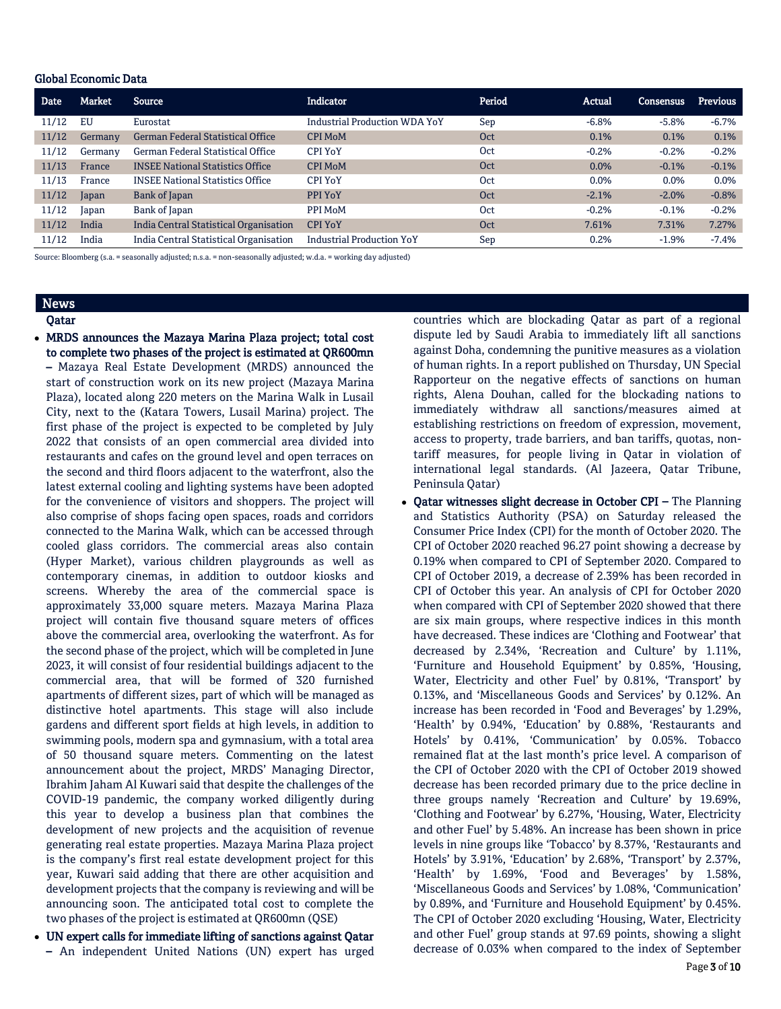#### Global Economic Data

| <b>Date</b> | Market  | <b>Source</b>                           | <b>Indicator</b>                     | Period     | Actual  | <b>Consensus</b> | <b>Previous</b> |
|-------------|---------|-----------------------------------------|--------------------------------------|------------|---------|------------------|-----------------|
| 11/12       | EU      | Eurostat                                | <b>Industrial Production WDA YoY</b> | Sep        | $-6.8%$ | $-5.8%$          | $-6.7%$         |
| 11/12       | Germany | German Federal Statistical Office       | <b>CPI MoM</b>                       | <b>Oct</b> | 0.1%    | 0.1%             | 0.1%            |
| 11/12       | Germany | German Federal Statistical Office       | <b>CPI YoY</b>                       | Oct        | $-0.2%$ | $-0.2%$          | $-0.2%$         |
| 11/13       | France  | <b>INSEE National Statistics Office</b> | <b>CPI MoM</b>                       | Oct        | 0.0%    | $-0.1%$          | $-0.1%$         |
| 11/13       | France  | <b>INSEE National Statistics Office</b> | <b>CPI YoY</b>                       | Oct        | 0.0%    | 0.0%             | 0.0%            |
| 11/12       | Japan   | Bank of Japan                           | PPI YoY                              | Oct        | $-2.1%$ | $-2.0%$          | $-0.8%$         |
| 11/12       | Japan   | Bank of Japan                           | PPI MoM                              | Oct        | $-0.2%$ | $-0.1%$          | $-0.2%$         |
| 11/12       | India   | India Central Statistical Organisation  | <b>CPI YoY</b>                       | Oct        | 7.61%   | 7.31%            | 7.27%           |
| 11/12       | India   | India Central Statistical Organisation  | <b>Industrial Production YoY</b>     | Sep        | 0.2%    | $-1.9%$          | $-7.4%$         |

Source: Bloomberg (s.a. = seasonally adjusted; n.s.a. = non-seasonally adjusted; w.d.a. = working day adjusted)

# News

#### Qatar

- MRDS announces the Mazaya Marina Plaza project; total cost to complete two phases of the project is estimated at QR600mn – Mazaya Real Estate Development (MRDS) announced the start of construction work on its new project (Mazaya Marina Plaza), located along 220 meters on the Marina Walk in Lusail City, next to the (Katara Towers, Lusail Marina) project. The first phase of the project is expected to be completed by July 2022 that consists of an open commercial area divided into restaurants and cafes on the ground level and open terraces on the second and third floors adjacent to the waterfront, also the latest external cooling and lighting systems have been adopted for the convenience of visitors and shoppers. The project will also comprise of shops facing open spaces, roads and corridors connected to the Marina Walk, which can be accessed through cooled glass corridors. The commercial areas also contain (Hyper Market), various children playgrounds as well as contemporary cinemas, in addition to outdoor kiosks and screens. Whereby the area of the commercial space is approximately 33,000 square meters. Mazaya Marina Plaza project will contain five thousand square meters of offices above the commercial area, overlooking the waterfront. As for the second phase of the project, which will be completed in June 2023, it will consist of four residential buildings adjacent to the commercial area, that will be formed of 320 furnished apartments of different sizes, part of which will be managed as distinctive hotel apartments. This stage will also include gardens and different sport fields at high levels, in addition to swimming pools, modern spa and gymnasium, with a total area of 50 thousand square meters. Commenting on the latest announcement about the project, MRDS' Managing Director, Ibrahim Jaham Al Kuwari said that despite the challenges of the COVID-19 pandemic, the company worked diligently during this year to develop a business plan that combines the development of new projects and the acquisition of revenue generating real estate properties. Mazaya Marina Plaza project is the company's first real estate development project for this year, Kuwari said adding that there are other acquisition and development projects that the company is reviewing and will be announcing soon. The anticipated total cost to complete the two phases of the project is estimated at QR600mn (QSE)
- UN expert calls for immediate lifting of sanctions against Qatar – An independent United Nations (UN) expert has urged

countries which are blockading Qatar as part of a regional dispute led by Saudi Arabia to immediately lift all sanctions against Doha, condemning the punitive measures as a violation of human rights. In a report published on Thursday, UN Special Rapporteur on the negative effects of sanctions on human rights, Alena Douhan, called for the blockading nations to immediately withdraw all sanctions/measures aimed at establishing restrictions on freedom of expression, movement, access to property, trade barriers, and ban tariffs, quotas, nontariff measures, for people living in Qatar in violation of international legal standards. (Al Jazeera, Qatar Tribune, Peninsula Qatar)

• Oatar witnesses slight decrease in October CPI – The Planning and Statistics Authority (PSA) on Saturday released the Consumer Price Index (CPI) for the month of October 2020. The CPI of October 2020 reached 96.27 point showing a decrease by 0.19% when compared to CPI of September 2020. Compared to CPI of October 2019, a decrease of 2.39% has been recorded in CPI of October this year. An analysis of CPI for October 2020 when compared with CPI of September 2020 showed that there are six main groups, where respective indices in this month have decreased. These indices are 'Clothing and Footwear' that decreased by 2.34%, 'Recreation and Culture' by 1.11%, 'Furniture and Household Equipment' by 0.85%, 'Housing, Water, Electricity and other Fuel' by 0.81%, 'Transport' by 0.13%, and 'Miscellaneous Goods and Services' by 0.12%. An increase has been recorded in 'Food and Beverages' by 1.29%, 'Health' by 0.94%, 'Education' by 0.88%, 'Restaurants and Hotels' by 0.41%, 'Communication' by 0.05%. Tobacco remained flat at the last month's price level. A comparison of the CPI of October 2020 with the CPI of October 2019 showed decrease has been recorded primary due to the price decline in three groups namely 'Recreation and Culture' by 19.69%, 'Clothing and Footwear' by 6.27%, 'Housing, Water, Electricity and other Fuel' by 5.48%. An increase has been shown in price levels in nine groups like 'Tobacco' by 8.37%, 'Restaurants and Hotels' by 3.91%, 'Education' by 2.68%, 'Transport' by 2.37%, 'Health' by 1.69%, 'Food and Beverages' by 1.58%, 'Miscellaneous Goods and Services' by 1.08%, 'Communication' by 0.89%, and 'Furniture and Household Equipment' by 0.45%. The CPI of October 2020 excluding 'Housing, Water, Electricity and other Fuel' group stands at 97.69 points, showing a slight decrease of 0.03% when compared to the index of September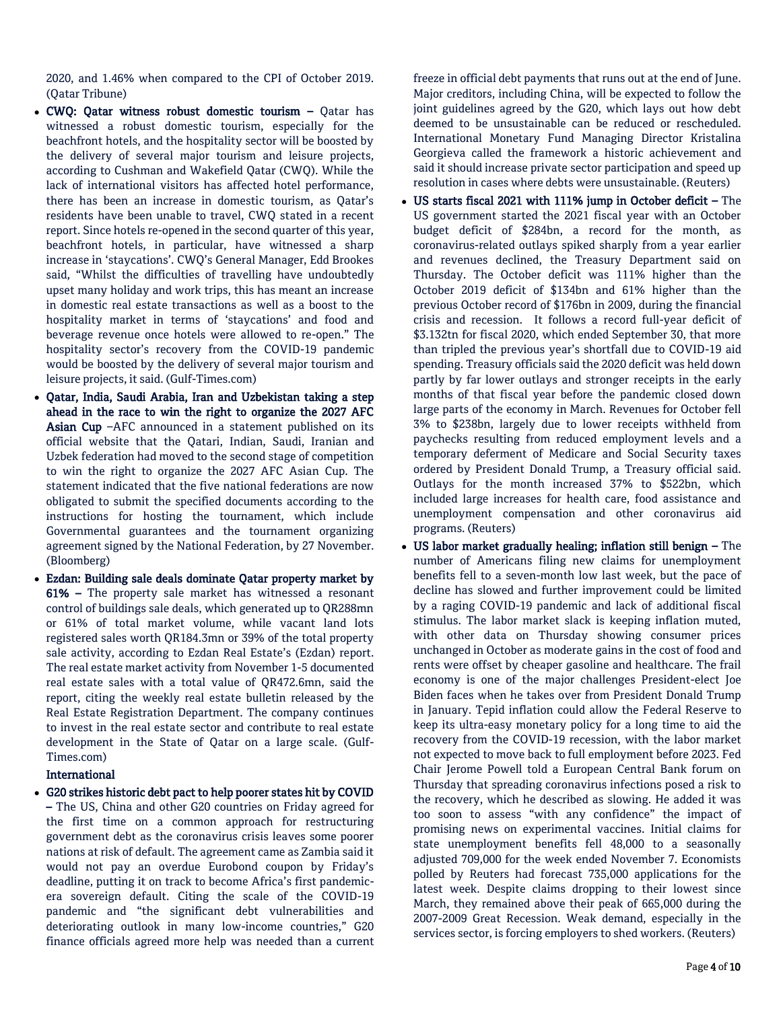2020, and 1.46% when compared to the CPI of October 2019. (Qatar Tribune)

- CWQ: Qatar witness robust domestic tourism Qatar has witnessed a robust domestic tourism, especially for the beachfront hotels, and the hospitality sector will be boosted by the delivery of several major tourism and leisure projects, according to Cushman and Wakefield Qatar (CWQ). While the lack of international visitors has affected hotel performance, there has been an increase in domestic tourism, as Qatar's residents have been unable to travel, CWQ stated in a recent report. Since hotels re-opened in the second quarter of this year, beachfront hotels, in particular, have witnessed a sharp increase in 'staycations'. CWQ's General Manager, Edd Brookes said, "Whilst the difficulties of travelling have undoubtedly upset many holiday and work trips, this has meant an increase in domestic real estate transactions as well as a boost to the hospitality market in terms of 'staycations' and food and beverage revenue once hotels were allowed to re-open." The hospitality sector's recovery from the COVID-19 pandemic would be boosted by the delivery of several major tourism and leisure projects, it said. (Gulf-Times.com)
- Qatar, India, Saudi Arabia, Iran and Uzbekistan taking a step ahead in the race to win the right to organize the 2027 AFC Asian Cup -AFC announced in a statement published on its official website that the Qatari, Indian, Saudi, Iranian and Uzbek federation had moved to the second stage of competition to win the right to organize the 2027 AFC Asian Cup. The statement indicated that the five national federations are now obligated to submit the specified documents according to the instructions for hosting the tournament, which include Governmental guarantees and the tournament organizing agreement signed by the National Federation, by 27 November. (Bloomberg)
- Ezdan: Building sale deals dominate Qatar property market by 61% – The property sale market has witnessed a resonant control of buildings sale deals, which generated up to QR288mn or 61% of total market volume, while vacant land lots registered sales worth QR184.3mn or 39% of the total property sale activity, according to Ezdan Real Estate's (Ezdan) report. The real estate market activity from November 1-5 documented real estate sales with a total value of QR472.6mn, said the report, citing the weekly real estate bulletin released by the Real Estate Registration Department. The company continues to invest in the real estate sector and contribute to real estate development in the State of Qatar on a large scale. (Gulf-Times.com)

#### International

 G20 strikes historic debt pact to help poorer states hit by COVID – The US, China and other G20 countries on Friday agreed for the first time on a common approach for restructuring government debt as the coronavirus crisis leaves some poorer nations at risk of default. The agreement came as Zambia said it would not pay an overdue Eurobond coupon by Friday's deadline, putting it on track to become Africa's first pandemicera sovereign default. Citing the scale of the COVID-19 pandemic and "the significant debt vulnerabilities and deteriorating outlook in many low-income countries," G20 finance officials agreed more help was needed than a current freeze in official debt payments that runs out at the end of June. Major creditors, including China, will be expected to follow the joint guidelines agreed by the G20, which lays out how debt deemed to be unsustainable can be reduced or rescheduled. International Monetary Fund Managing Director Kristalina Georgieva called the framework a historic achievement and said it should increase private sector participation and speed up resolution in cases where debts were unsustainable. (Reuters)

- US starts fiscal 2021 with 111% jump in October deficit The US government started the 2021 fiscal year with an October budget deficit of \$284bn, a record for the month, as coronavirus-related outlays spiked sharply from a year earlier and revenues declined, the Treasury Department said on Thursday. The October deficit was 111% higher than the October 2019 deficit of \$134bn and 61% higher than the previous October record of \$176bn in 2009, during the financial crisis and recession. It follows a record full-year deficit of \$3.132tn for fiscal 2020, which ended September 30, that more than tripled the previous year's shortfall due to COVID-19 aid spending. Treasury officials said the 2020 deficit was held down partly by far lower outlays and stronger receipts in the early months of that fiscal year before the pandemic closed down large parts of the economy in March. Revenues for October fell 3% to \$238bn, largely due to lower receipts withheld from paychecks resulting from reduced employment levels and a temporary deferment of Medicare and Social Security taxes ordered by President Donald Trump, a Treasury official said. Outlays for the month increased 37% to \$522bn, which included large increases for health care, food assistance and unemployment compensation and other coronavirus aid programs. (Reuters)
- US labor market gradually healing; inflation still benign The number of Americans filing new claims for unemployment benefits fell to a seven-month low last week, but the pace of decline has slowed and further improvement could be limited by a raging COVID-19 pandemic and lack of additional fiscal stimulus. The labor market slack is keeping inflation muted, with other data on Thursday showing consumer prices unchanged in October as moderate gains in the cost of food and rents were offset by cheaper gasoline and healthcare. The frail economy is one of the major challenges President-elect Joe Biden faces when he takes over from President Donald Trump in January. Tepid inflation could allow the Federal Reserve to keep its ultra-easy monetary policy for a long time to aid the recovery from the COVID-19 recession, with the labor market not expected to move back to full employment before 2023. Fed Chair Jerome Powell told a European Central Bank forum on Thursday that spreading coronavirus infections posed a risk to the recovery, which he described as slowing. He added it was too soon to assess "with any confidence" the impact of promising news on experimental vaccines. Initial claims for state unemployment benefits fell 48,000 to a seasonally adjusted 709,000 for the week ended November 7. Economists polled by Reuters had forecast 735,000 applications for the latest week. Despite claims dropping to their lowest since March, they remained above their peak of 665,000 during the 2007-2009 Great Recession. Weak demand, especially in the services sector, is forcing employers to shed workers. (Reuters)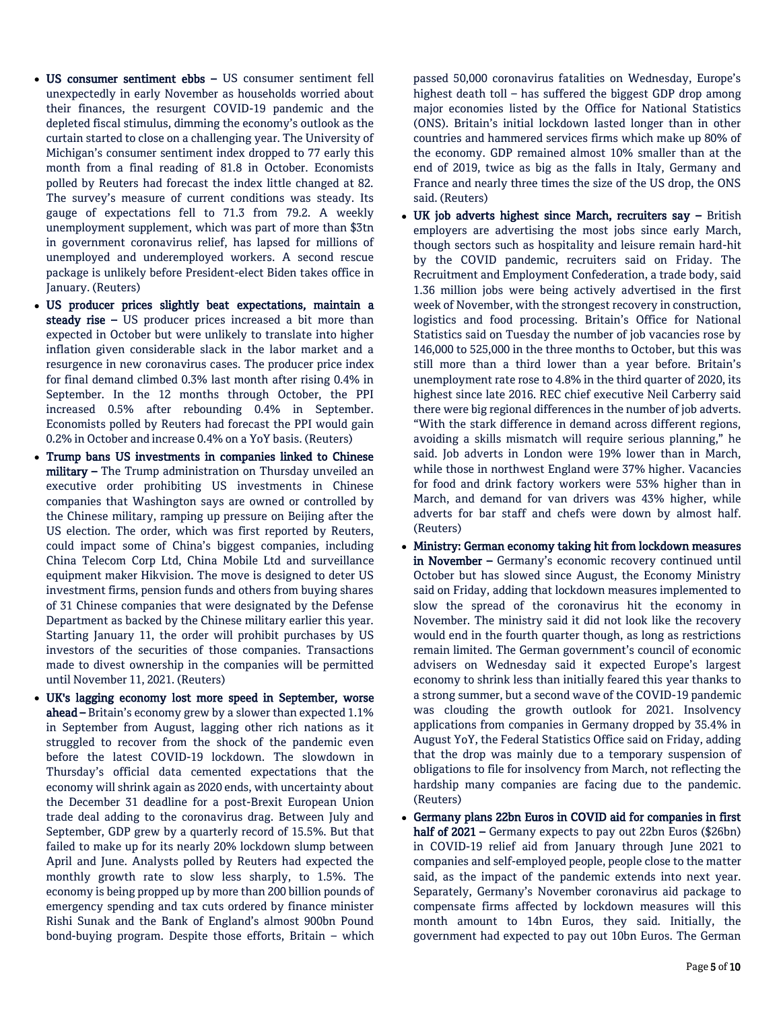- US consumer sentiment ebbs US consumer sentiment fell unexpectedly in early November as households worried about their finances, the resurgent COVID-19 pandemic and the depleted fiscal stimulus, dimming the economy's outlook as the curtain started to close on a challenging year. The University of Michigan's consumer sentiment index dropped to 77 early this month from a final reading of 81.8 in October. Economists polled by Reuters had forecast the index little changed at 82. The survey's measure of current conditions was steady. Its gauge of expectations fell to 71.3 from 79.2. A weekly unemployment supplement, which was part of more than \$3tn in government coronavirus relief, has lapsed for millions of unemployed and underemployed workers. A second rescue package is unlikely before President-elect Biden takes office in January. (Reuters)
- US producer prices slightly beat expectations, maintain a steady rise – US producer prices increased a bit more than expected in October but were unlikely to translate into higher inflation given considerable slack in the labor market and a resurgence in new coronavirus cases. The producer price index for final demand climbed 0.3% last month after rising 0.4% in September. In the 12 months through October, the PPI increased 0.5% after rebounding 0.4% in September. Economists polled by Reuters had forecast the PPI would gain 0.2% in October and increase 0.4% on a YoY basis. (Reuters)
- Trump bans US investments in companies linked to Chinese military – The Trump administration on Thursday unveiled an executive order prohibiting US investments in Chinese companies that Washington says are owned or controlled by the Chinese military, ramping up pressure on Beijing after the US election. The order, which was first reported by Reuters, could impact some of China's biggest companies, including China Telecom Corp Ltd, China Mobile Ltd and surveillance equipment maker Hikvision. The move is designed to deter US investment firms, pension funds and others from buying shares of 31 Chinese companies that were designated by the Defense Department as backed by the Chinese military earlier this year. Starting January 11, the order will prohibit purchases by US investors of the securities of those companies. Transactions made to divest ownership in the companies will be permitted until November 11, 2021. (Reuters)
- UK's lagging economy lost more speed in September, worse ahead – Britain's economy grew by a slower than expected 1.1% in September from August, lagging other rich nations as it struggled to recover from the shock of the pandemic even before the latest COVID-19 lockdown. The slowdown in Thursday's official data cemented expectations that the economy will shrink again as 2020 ends, with uncertainty about the December 31 deadline for a post-Brexit European Union trade deal adding to the coronavirus drag. Between July and September, GDP grew by a quarterly record of 15.5%. But that failed to make up for its nearly 20% lockdown slump between April and June. Analysts polled by Reuters had expected the monthly growth rate to slow less sharply, to 1.5%. The economy is being propped up by more than 200 billion pounds of emergency spending and tax cuts ordered by finance minister Rishi Sunak and the Bank of England's almost 900bn Pound bond-buying program. Despite those efforts, Britain – which

passed 50,000 coronavirus fatalities on Wednesday, Europe's highest death toll – has suffered the biggest GDP drop among major economies listed by the Office for National Statistics (ONS). Britain's initial lockdown lasted longer than in other countries and hammered services firms which make up 80% of the economy. GDP remained almost 10% smaller than at the end of 2019, twice as big as the falls in Italy, Germany and France and nearly three times the size of the US drop, the ONS said. (Reuters)

- UK job adverts highest since March, recruiters say British employers are advertising the most jobs since early March, though sectors such as hospitality and leisure remain hard-hit by the COVID pandemic, recruiters said on Friday. The Recruitment and Employment Confederation, a trade body, said 1.36 million jobs were being actively advertised in the first week of November, with the strongest recovery in construction, logistics and food processing. Britain's Office for National Statistics said on Tuesday the number of job vacancies rose by 146,000 to 525,000 in the three months to October, but this was still more than a third lower than a year before. Britain's unemployment rate rose to 4.8% in the third quarter of 2020, its highest since late 2016. REC chief executive Neil Carberry said there were big regional differences in the number of job adverts. "With the stark difference in demand across different regions, avoiding a skills mismatch will require serious planning," he said. Job adverts in London were 19% lower than in March, while those in northwest England were 37% higher. Vacancies for food and drink factory workers were 53% higher than in March, and demand for van drivers was 43% higher, while adverts for bar staff and chefs were down by almost half. (Reuters)
- Ministry: German economy taking hit from lockdown measures in November - Germany's economic recovery continued until October but has slowed since August, the Economy Ministry said on Friday, adding that lockdown measures implemented to slow the spread of the coronavirus hit the economy in November. The ministry said it did not look like the recovery would end in the fourth quarter though, as long as restrictions remain limited. The German government's council of economic advisers on Wednesday said it expected Europe's largest economy to shrink less than initially feared this year thanks to a strong summer, but a second wave of the COVID-19 pandemic was clouding the growth outlook for 2021. Insolvency applications from companies in Germany dropped by 35.4% in August YoY, the Federal Statistics Office said on Friday, adding that the drop was mainly due to a temporary suspension of obligations to file for insolvency from March, not reflecting the hardship many companies are facing due to the pandemic. (Reuters)
- Germany plans 22bn Euros in COVID aid for companies in first half of 2021 – Germany expects to pay out 22bn Euros (\$26bn) in COVID-19 relief aid from January through June 2021 to companies and self-employed people, people close to the matter said, as the impact of the pandemic extends into next year. Separately, Germany's November coronavirus aid package to compensate firms affected by lockdown measures will this month amount to 14bn Euros, they said. Initially, the government had expected to pay out 10bn Euros. The German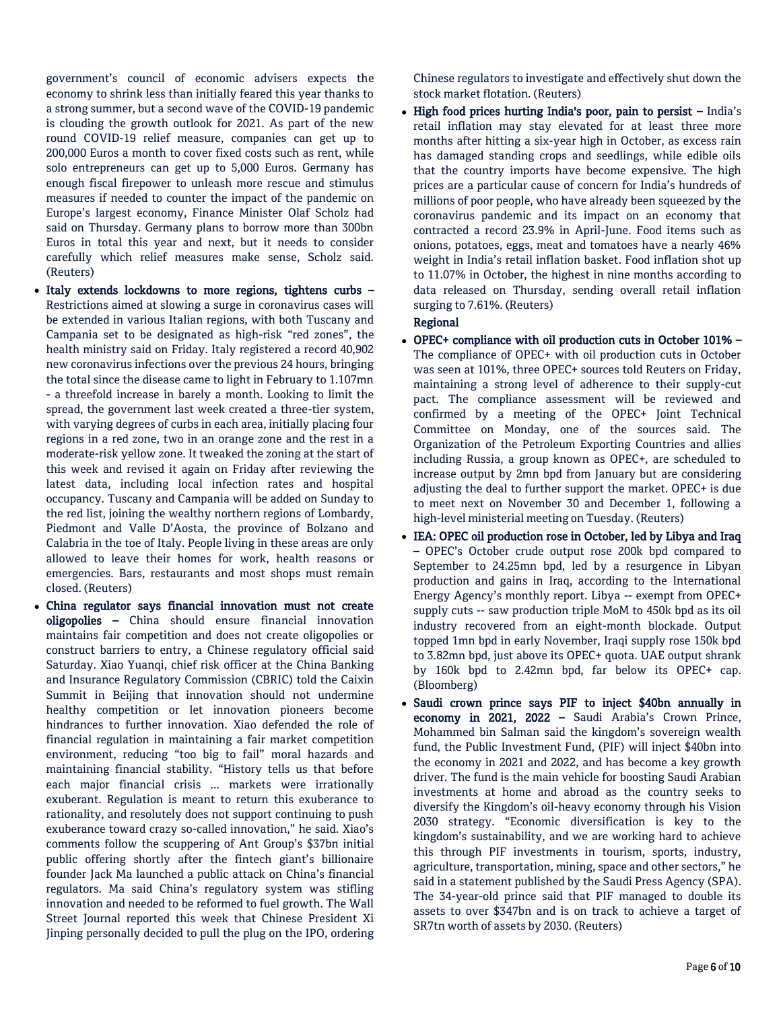government's council of economic advisers expects the economy to shrink less than initially feared this year thanks to a strong summer, but a second wave of the COVID-19 pandemic is clouding the growth outlook for 2021. As part of the new round COVID-19 relief measure, companies can get up to 200,000 Euros a month to cover fixed costs such as rent, while solo entrepreneurs can get up to 5,000 Euros. Germany has enough fiscal firepower to unleash more rescue and stimulus measures if needed to counter the impact of the pandemic on Europe's largest economy, Finance Minister Olaf Scholz had said on Thursday. Germany plans to borrow more than 300bn Euros in total this year and next, but it needs to consider carefully which relief measures make sense, Scholz said. (Reuters)

- Italy extends lockdowns to more regions, tightens curbs -Restrictions aimed at slowing a surge in coronavirus cases will be extended in various Italian regions, with both Tuscany and Campania set to be designated as high-risk "red zones", the health ministry said on Friday. Italy registered a record 40,902 new coronavirus infections over the previous 24 hours, bringing the total since the disease came to light in February to 1.107mn - a threefold increase in barely a month. Looking to limit the spread, the government last week created a three-tier system, with varying degrees of curbs in each area, initially placing four regions in a red zone, two in an orange zone and the rest in a moderate-risk yellow zone. It tweaked the zoning at the start of this week and revised it again on Friday after reviewing the latest data, including local infection rates and hospital occupancy. Tuscany and Campania will be added on Sunday to the red list, joining the wealthy northern regions of Lombardy, Piedmont and Valle D'Aosta, the province of Bolzano and Calabria in the toe of Italy. People living in these areas are only allowed to leave their homes for work, health reasons or emergencies. Bars, restaurants and most shops must remain closed. (Reuters)
- China regulator says financial innovation must not create oligopolies – China should ensure financial innovation maintains fair competition and does not create oligopolies or construct barriers to entry, a Chinese regulatory official said Saturday. Xiao Yuanqi, chief risk officer at the China Banking and Insurance Regulatory Commission (CBRIC) told the Caixin Summit in Beijing that innovation should not undermine healthy competition or let innovation pioneers become hindrances to further innovation. Xiao defended the role of financial regulation in maintaining a fair market competition environment, reducing "too big to fail" moral hazards and maintaining financial stability. "History tells us that before each major financial crisis ... markets were irrationally exuberant. Regulation is meant to return this exuberance to rationality, and resolutely does not support continuing to push exuberance toward crazy so-called innovation," he said. Xiao's comments follow the scuppering of Ant Group's \$37bn initial public offering shortly after the fintech giant's billionaire founder Jack Ma launched a public attack on China's financial regulators. Ma said China's regulatory system was stifling innovation and needed to be reformed to fuel growth. The Wall Street Journal reported this week that Chinese President Xi Jinping personally decided to pull the plug on the IPO, ordering

Chinese regulators to investigate and effectively shut down the stock market flotation. (Reuters)

• High food prices hurting India's poor, pain to persist – India's retail inflation may stay elevated for at least three more months after hitting a six-year high in October, as excess rain has damaged standing crops and seedlings, while edible oils that the country imports have become expensive. The high prices are a particular cause of concern for India's hundreds of millions of poor people, who have already been squeezed by the coronavirus pandemic and its impact on an economy that contracted a record 23.9% in April-June. Food items such as onions, potatoes, eggs, meat and tomatoes have a nearly 46% weight in India's retail inflation basket. Food inflation shot up to 11.07% in October, the highest in nine months according to data released on Thursday, sending overall retail inflation surging to 7.61%. (Reuters)

#### Regional

- OPEC+ compliance with oil production cuts in October 101% The compliance of OPEC+ with oil production cuts in October was seen at 101%, three OPEC+ sources told Reuters on Friday, maintaining a strong level of adherence to their supply-cut pact. The compliance assessment will be reviewed and confirmed by a meeting of the OPEC+ Joint Technical Committee on Monday, one of the sources said. The Organization of the Petroleum Exporting Countries and allies including Russia, a group known as OPEC+, are scheduled to increase output by 2mn bpd from January but are considering adjusting the deal to further support the market. OPEC+ is due to meet next on November 30 and December 1, following a high-level ministerial meeting on Tuesday. (Reuters)
- IEA: OPEC oil production rose in October, led by Libya and Iraq – OPEC's October crude output rose 200k bpd compared to September to 24.25mn bpd, led by a resurgence in Libyan production and gains in Iraq, according to the International Energy Agency's monthly report. Libya -- exempt from OPEC+ supply cuts -- saw production triple MoM to 450k bpd as its oil industry recovered from an eight-month blockade. Output topped 1mn bpd in early November, Iraqi supply rose 150k bpd to 3.82mn bpd, just above its OPEC+ quota. UAE output shrank by 160k bpd to 2.42mn bpd, far below its OPEC+ cap. (Bloomberg)
- Saudi crown prince says PIF to inject \$40bn annually in economy in 2021, 2022 – Saudi Arabia's Crown Prince, Mohammed bin Salman said the kingdom's sovereign wealth fund, the Public Investment Fund, (PIF) will inject \$40bn into the economy in 2021 and 2022, and has become a key growth driver. The fund is the main vehicle for boosting Saudi Arabian investments at home and abroad as the country seeks to diversify the Kingdom's oil-heavy economy through his Vision 2030 strategy. "Economic diversification is key to the kingdom's sustainability, and we are working hard to achieve this through PIF investments in tourism, sports, industry, agriculture, transportation, mining, space and other sectors," he said in a statement published by the Saudi Press Agency (SPA). The 34-year-old prince said that PIF managed to double its assets to over \$347bn and is on track to achieve a target of SR7tn worth of assets by 2030. (Reuters)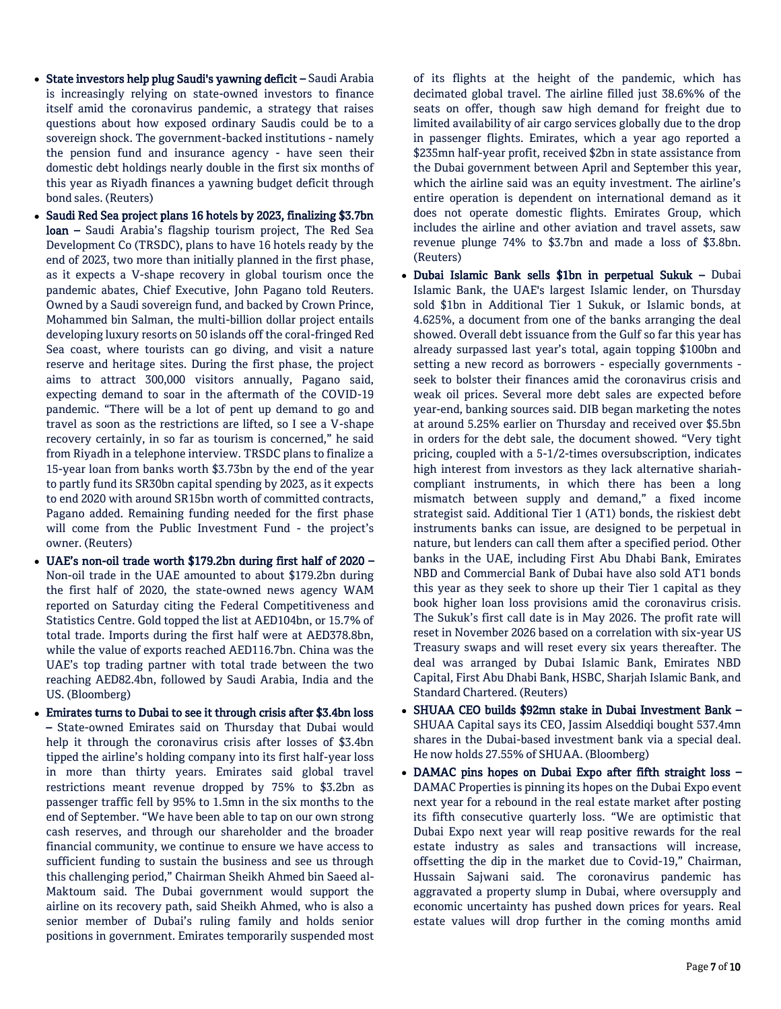- State investors help plug Saudi's yawning deficit Saudi Arabia is increasingly relying on state-owned investors to finance itself amid the coronavirus pandemic, a strategy that raises questions about how exposed ordinary Saudis could be to a sovereign shock. The government-backed institutions - namely the pension fund and insurance agency - have seen their domestic debt holdings nearly double in the first six months of this year as Riyadh finances a yawning budget deficit through bond sales. (Reuters)
- Saudi Red Sea project plans 16 hotels by 2023, finalizing \$3.7bn loan – Saudi Arabia's flagship tourism project, The Red Sea Development Co (TRSDC), plans to have 16 hotels ready by the end of 2023, two more than initially planned in the first phase, as it expects a V-shape recovery in global tourism once the pandemic abates, Chief Executive, John Pagano told Reuters. Owned by a Saudi sovereign fund, and backed by Crown Prince, Mohammed bin Salman, the multi-billion dollar project entails developing luxury resorts on 50 islands off the coral-fringed Red Sea coast, where tourists can go diving, and visit a nature reserve and heritage sites. During the first phase, the project aims to attract 300,000 visitors annually, Pagano said, expecting demand to soar in the aftermath of the COVID-19 pandemic. "There will be a lot of pent up demand to go and travel as soon as the restrictions are lifted, so I see a V-shape recovery certainly, in so far as tourism is concerned," he said from Riyadh in a telephone interview. TRSDC plans to finalize a 15-year loan from banks worth \$3.73bn by the end of the year to partly fund its SR30bn capital spending by 2023, as it expects to end 2020 with around SR15bn worth of committed contracts, Pagano added. Remaining funding needed for the first phase will come from the Public Investment Fund - the project's owner. (Reuters)
- UAE's non-oil trade worth \$179.2bn during first half of 2020 Non-oil trade in the UAE amounted to about \$179.2bn during the first half of 2020, the state-owned news agency WAM reported on Saturday citing the Federal Competitiveness and Statistics Centre. Gold topped the list at AED104bn, or 15.7% of total trade. Imports during the first half were at AED378.8bn, while the value of exports reached AED116.7bn. China was the UAE's top trading partner with total trade between the two reaching AED82.4bn, followed by Saudi Arabia, India and the US. (Bloomberg)
- Emirates turns to Dubai to see it through crisis after \$3.4bn loss – State-owned Emirates said on Thursday that Dubai would help it through the coronavirus crisis after losses of \$3.4bn tipped the airline's holding company into its first half-year loss in more than thirty years. Emirates said global travel restrictions meant revenue dropped by 75% to \$3.2bn as passenger traffic fell by 95% to 1.5mn in the six months to the end of September. "We have been able to tap on our own strong cash reserves, and through our shareholder and the broader financial community, we continue to ensure we have access to sufficient funding to sustain the business and see us through this challenging period," Chairman Sheikh Ahmed bin Saeed al-Maktoum said. The Dubai government would support the airline on its recovery path, said Sheikh Ahmed, who is also a senior member of Dubai's ruling family and holds senior positions in government. Emirates temporarily suspended most

of its flights at the height of the pandemic, which has decimated global travel. The airline filled just 38.6%% of the seats on offer, though saw high demand for freight due to limited availability of air cargo services globally due to the drop in passenger flights. Emirates, which a year ago reported a \$235mn half-year profit, received \$2bn in state assistance from the Dubai government between April and September this year, which the airline said was an equity investment. The airline's entire operation is dependent on international demand as it does not operate domestic flights. Emirates Group, which includes the airline and other aviation and travel assets, saw revenue plunge 74% to \$3.7bn and made a loss of \$3.8bn. (Reuters)

- Dubai Islamic Bank sells \$1bn in perpetual Sukuk Dubai Islamic Bank, the UAE's largest Islamic lender, on Thursday sold \$1bn in Additional Tier 1 Sukuk, or Islamic bonds, at 4.625%, a document from one of the banks arranging the deal showed. Overall debt issuance from the Gulf so far this year has already surpassed last year's total, again topping \$100bn and setting a new record as borrowers - especially governments seek to bolster their finances amid the coronavirus crisis and weak oil prices. Several more debt sales are expected before year-end, banking sources said. DIB began marketing the notes at around 5.25% earlier on Thursday and received over \$5.5bn in orders for the debt sale, the document showed. "Very tight pricing, coupled with a 5-1/2-times oversubscription, indicates high interest from investors as they lack alternative shariahcompliant instruments, in which there has been a long mismatch between supply and demand," a fixed income strategist said. Additional Tier 1 (AT1) bonds, the riskiest debt instruments banks can issue, are designed to be perpetual in nature, but lenders can call them after a specified period. Other banks in the UAE, including First Abu Dhabi Bank, Emirates NBD and Commercial Bank of Dubai have also sold AT1 bonds this year as they seek to shore up their Tier 1 capital as they book higher loan loss provisions amid the coronavirus crisis. The Sukuk's first call date is in May 2026. The profit rate will reset in November 2026 based on a correlation with six-year US Treasury swaps and will reset every six years thereafter. The deal was arranged by Dubai Islamic Bank, Emirates NBD Capital, First Abu Dhabi Bank, HSBC, Sharjah Islamic Bank, and Standard Chartered. (Reuters)
- SHUAA CEO builds \$92mn stake in Dubai Investment Bank SHUAA Capital says its CEO, Jassim Alseddiqi bought 537.4mn shares in the Dubai-based investment bank via a special deal. He now holds 27.55% of SHUAA. (Bloomberg)
- DAMAC pins hopes on Dubai Expo after fifth straight loss DAMAC Properties is pinning its hopes on the Dubai Expo event next year for a rebound in the real estate market after posting its fifth consecutive quarterly loss. "We are optimistic that Dubai Expo next year will reap positive rewards for the real estate industry as sales and transactions will increase, offsetting the dip in the market due to Covid-19," Chairman, Hussain Sajwani said. The coronavirus pandemic has aggravated a property slump in Dubai, where oversupply and economic uncertainty has pushed down prices for years. Real estate values will drop further in the coming months amid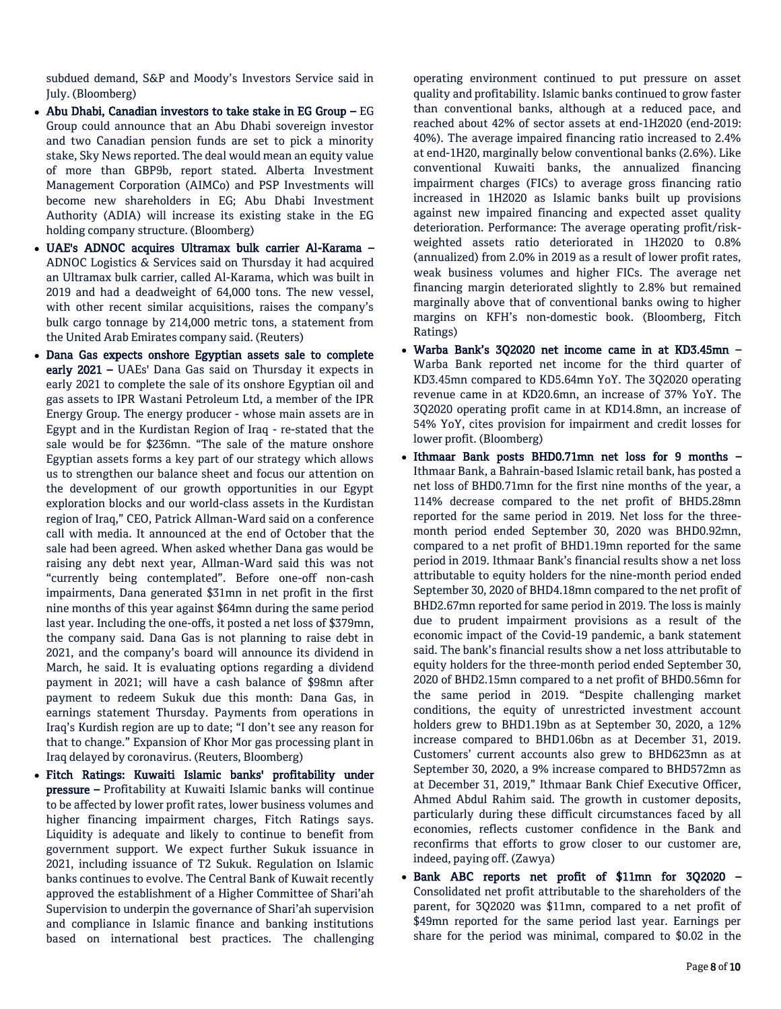subdued demand, S&P and Moody's Investors Service said in July. (Bloomberg)

- Abu Dhabi, Canadian investors to take stake in EG Group EG Group could announce that an Abu Dhabi sovereign investor and two Canadian pension funds are set to pick a minority stake, Sky News reported. The deal would mean an equity value of more than GBP9b, report stated. Alberta Investment Management Corporation (AIMCo) and PSP Investments will become new shareholders in EG; Abu Dhabi Investment Authority (ADIA) will increase its existing stake in the EG holding company structure. (Bloomberg)
- UAE's ADNOC acquires Ultramax bulk carrier Al-Karama ADNOC Logistics & Services said on Thursday it had acquired an Ultramax bulk carrier, called Al-Karama, which was built in 2019 and had a deadweight of 64,000 tons. The new vessel, with other recent similar acquisitions, raises the company's bulk cargo tonnage by 214,000 metric tons, a statement from the United Arab Emirates company said. (Reuters)
- Dana Gas expects onshore Egyptian assets sale to complete early 2021 – UAEs' Dana Gas said on Thursday it expects in early 2021 to complete the sale of its onshore Egyptian oil and gas assets to IPR Wastani Petroleum Ltd, a member of the IPR Energy Group. The energy producer - whose main assets are in Egypt and in the Kurdistan Region of Iraq - re-stated that the sale would be for \$236mn. "The sale of the mature onshore Egyptian assets forms a key part of our strategy which allows us to strengthen our balance sheet and focus our attention on the development of our growth opportunities in our Egypt exploration blocks and our world-class assets in the Kurdistan region of Iraq," CEO, Patrick Allman-Ward said on a conference call with media. It announced at the end of October that the sale had been agreed. When asked whether Dana gas would be raising any debt next year, Allman-Ward said this was not "currently being contemplated". Before one-off non-cash impairments, Dana generated \$31mn in net profit in the first nine months of this year against \$64mn during the same period last year. Including the one-offs, it posted a net loss of \$379mn, the company said. Dana Gas is not planning to raise debt in 2021, and the company's board will announce its dividend in March, he said. It is evaluating options regarding a dividend payment in 2021; will have a cash balance of \$98mn after payment to redeem Sukuk due this month: Dana Gas, in earnings statement Thursday. Payments from operations in Iraq's Kurdish region are up to date; "I don't see any reason for that to change." Expansion of Khor Mor gas processing plant in Iraq delayed by coronavirus. (Reuters, Bloomberg)
- Fitch Ratings: Kuwaiti Islamic banks' profitability under pressure – Profitability at Kuwaiti Islamic banks will continue to be affected by lower profit rates, lower business volumes and higher financing impairment charges, Fitch Ratings says. Liquidity is adequate and likely to continue to benefit from government support. We expect further Sukuk issuance in 2021, including issuance of T2 Sukuk. Regulation on Islamic banks continues to evolve. The Central Bank of Kuwait recently approved the establishment of a Higher Committee of Shari'ah Supervision to underpin the governance of Shari'ah supervision and compliance in Islamic finance and banking institutions based on international best practices. The challenging

operating environment continued to put pressure on asset quality and profitability. Islamic banks continued to grow faster than conventional banks, although at a reduced pace, and reached about 42% of sector assets at end-1H2020 (end-2019: 40%). The average impaired financing ratio increased to 2.4% at end-1H20, marginally below conventional banks (2.6%). Like conventional Kuwaiti banks, the annualized financing impairment charges (FICs) to average gross financing ratio increased in 1H2020 as Islamic banks built up provisions against new impaired financing and expected asset quality deterioration. Performance: The average operating profit/riskweighted assets ratio deteriorated in 1H2020 to 0.8% (annualized) from 2.0% in 2019 as a result of lower profit rates, weak business volumes and higher FICs. The average net financing margin deteriorated slightly to 2.8% but remained marginally above that of conventional banks owing to higher margins on KFH's non-domestic book. (Bloomberg, Fitch Ratings)

- Warba Bank's 3Q2020 net income came in at KD3.45mn Warba Bank reported net income for the third quarter of KD3.45mn compared to KD5.64mn YoY. The 3Q2020 operating revenue came in at KD20.6mn, an increase of 37% YoY. The 3Q2020 operating profit came in at KD14.8mn, an increase of 54% YoY, cites provision for impairment and credit losses for lower profit. (Bloomberg)
- Ithmaar Bank posts BHD0.71mn net loss for 9 months Ithmaar Bank, a Bahrain-based Islamic retail bank, has posted a net loss of BHD0.71mn for the first nine months of the year, a 114% decrease compared to the net profit of BHD5.28mn reported for the same period in 2019. Net loss for the threemonth period ended September 30, 2020 was BHD0.92mn, compared to a net profit of BHD1.19mn reported for the same period in 2019. Ithmaar Bank's financial results show a net loss attributable to equity holders for the nine-month period ended September 30, 2020 of BHD4.18mn compared to the net profit of BHD2.67mn reported for same period in 2019. The loss is mainly due to prudent impairment provisions as a result of the economic impact of the Covid-19 pandemic, a bank statement said. The bank's financial results show a net loss attributable to equity holders for the three-month period ended September 30, 2020 of BHD2.15mn compared to a net profit of BHD0.56mn for the same period in 2019. "Despite challenging market conditions, the equity of unrestricted investment account holders grew to BHD1.19bn as at September 30, 2020, a 12% increase compared to BHD1.06bn as at December 31, 2019. Customers' current accounts also grew to BHD623mn as at September 30, 2020, a 9% increase compared to BHD572mn as at December 31, 2019," Ithmaar Bank Chief Executive Officer, Ahmed Abdul Rahim said. The growth in customer deposits, particularly during these difficult circumstances faced by all economies, reflects customer confidence in the Bank and reconfirms that efforts to grow closer to our customer are, indeed, paying off. (Zawya)
- Bank ABC reports net profit of \$11mn for 3Q2020 Consolidated net profit attributable to the shareholders of the parent, for 3Q2020 was \$11mn, compared to a net profit of \$49mn reported for the same period last year. Earnings per share for the period was minimal, compared to \$0.02 in the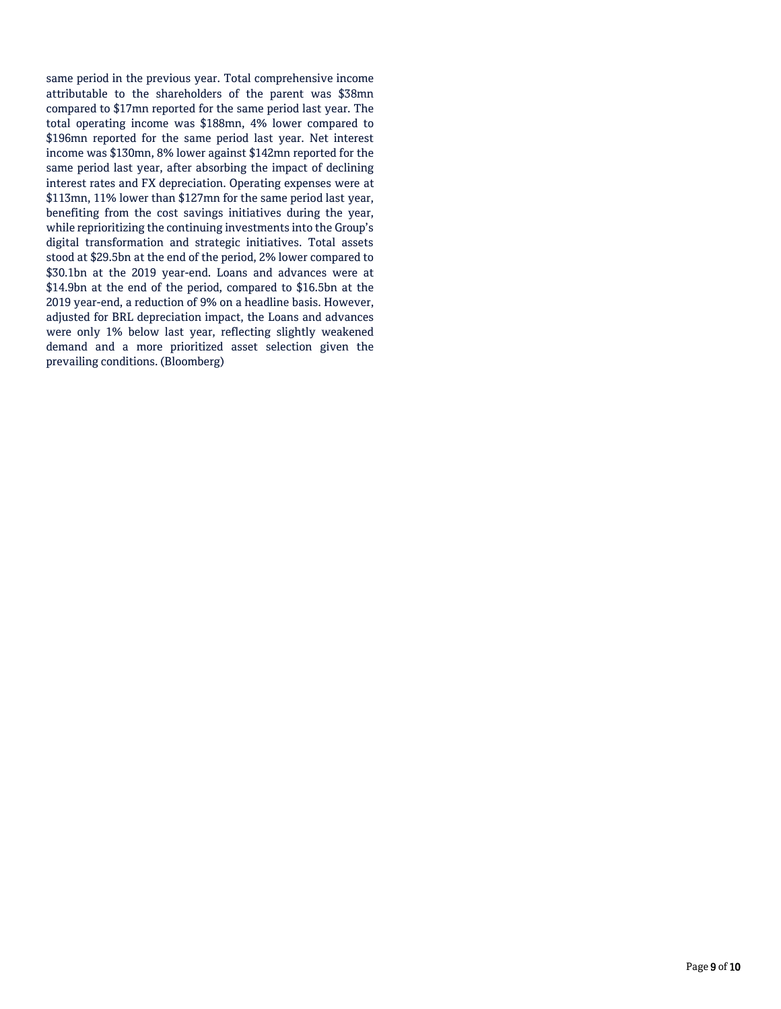same period in the previous year. Total comprehensive income attributable to the shareholders of the parent was \$38mn compared to \$17mn reported for the same period last year. The total operating income was \$188mn, 4% lower compared to \$196mn reported for the same period last year. Net interest income was \$130mn, 8% lower against \$142mn reported for the same period last year, after absorbing the impact of declining interest rates and FX depreciation. Operating expenses were at \$113mn, 11% lower than \$127mn for the same period last year, benefiting from the cost savings initiatives during the year, while reprioritizing the continuing investments into the Group's digital transformation and strategic initiatives. Total assets stood at \$29.5bn at the end of the period, 2% lower compared to \$30.1bn at the 2019 year-end. Loans and advances were at \$14.9bn at the end of the period, compared to \$16.5bn at the 2019 year-end, a reduction of 9% on a headline basis. However, adjusted for BRL depreciation impact, the Loans and advances were only 1% below last year, reflecting slightly weakened demand and a more prioritized asset selection given the prevailing conditions. (Bloomberg)